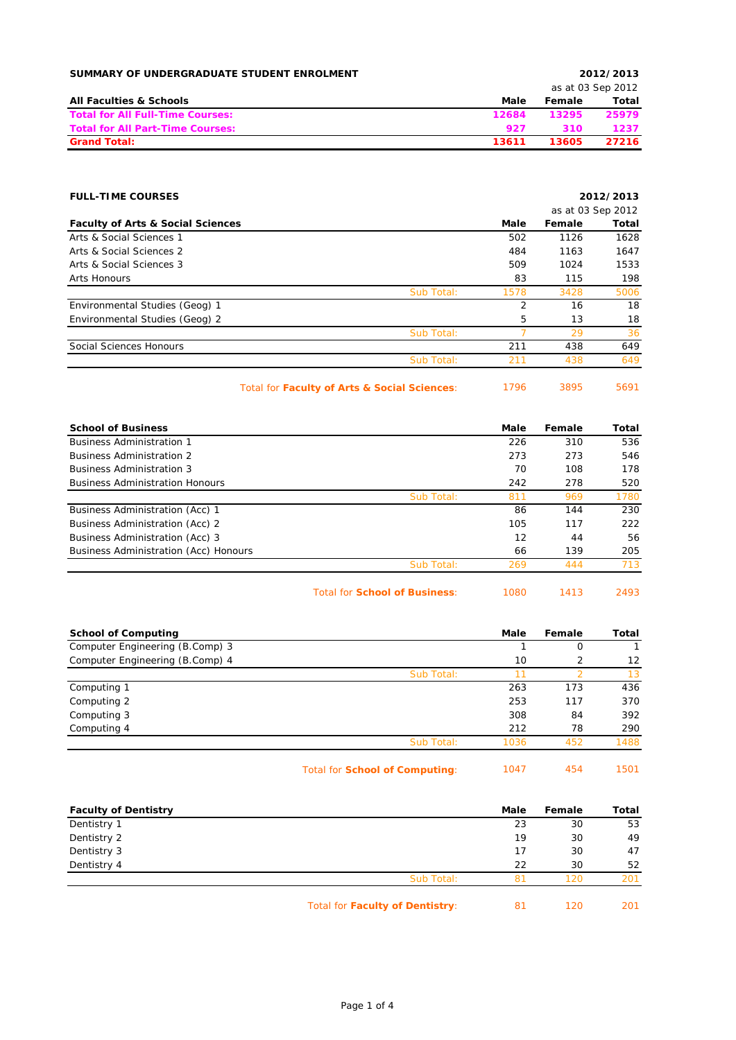| SUMMARY OF UNDERGRADUATE STUDENT ENROLMENT |       |        | 2012/2013         |
|--------------------------------------------|-------|--------|-------------------|
|                                            |       |        | as at 03 Sep 2012 |
| <b>All Faculties &amp; Schools</b>         | Male  | Female | Total             |
| <b>Total for All Full-Time Courses:</b>    | 12684 | 13295  | 25979             |
| <b>Total for All Part-Time Courses:</b>    | 927   | 310    | 1237              |
| <b>Grand Total:</b>                        | 13611 | 13605  | 27216             |

| <b>FULL-TIME COURSES</b>                     |            |                |                   | 2012/2013 |
|----------------------------------------------|------------|----------------|-------------------|-----------|
|                                              |            |                | as at 03 Sep 2012 |           |
| <b>Faculty of Arts &amp; Social Sciences</b> |            | Male           | Female            | Total     |
| Arts & Social Sciences 1                     |            | 502            | 1126              | 1628      |
| Arts & Social Sciences 2                     |            | 484            | 1163              | 1647      |
| Arts & Social Sciences 3                     |            | 509            | 1024              | 1533      |
| Arts Honours                                 |            | 83             | 115               | 198       |
|                                              | Sub Total: | 1578           | 3428              | 5006      |
| Environmental Studies (Geog) 1               |            | $\overline{2}$ | 16                | 18        |
| Environmental Studies (Geog) 2               |            | 5              | 13                | 18        |
|                                              | Sub Total: |                | 29                | 36        |
| Social Sciences Honours                      |            | 211            | 438               | 649       |
|                                              | Sub Total: | 211            | 438               | 649       |
|                                              |            |                |                   |           |

Total for **Faculty of Arts & Social Sciences**: 1796 3895 5691

| <b>School of Business</b>              |                                      | Male | Female | Total |
|----------------------------------------|--------------------------------------|------|--------|-------|
| <b>Business Administration 1</b>       |                                      | 226  | 310    | 536   |
| <b>Business Administration 2</b>       |                                      | 273  | 273    | 546   |
| <b>Business Administration 3</b>       |                                      | 70   | 108    | 178   |
| <b>Business Administration Honours</b> |                                      | 242  | 278    | 520   |
|                                        | Sub Total:                           | 811  | 969    | 1780  |
| Business Administration (Acc) 1        |                                      | 86   | 144    | 230   |
| Business Administration (Acc) 2        |                                      | 105  | 117    | 222   |
| Business Administration (Acc) 3        |                                      | 12   | 44     | 56    |
| Business Administration (Acc) Honours  |                                      | 66   | 139    | 205   |
|                                        | Sub Total:                           | 269  | 444    | 713   |
|                                        | <b>Total for School of Business:</b> | 1080 | 1413   | 2493  |

| <b>School of Computing</b>      |            | Male | Female | Total |
|---------------------------------|------------|------|--------|-------|
| Computer Engineering (B.Comp) 3 |            |      | 0      |       |
| Computer Engineering (B.Comp) 4 |            | 10   |        | 12    |
|                                 | Sub Total: |      |        | 13    |
| Computing 1                     |            | 263  | 173    | 436   |
| Computing 2                     |            | 253  | 117    | 370   |
| Computing 3                     |            | 308  | 84     | 392   |
| Computing 4                     |            | 212  | 78     | 290   |
|                                 | Sub Total: | 1036 | 452    | 1488  |
|                                 |            |      |        |       |

| Total for <b>School of Computing:</b> | 1047 | 454 | 1501 |
|---------------------------------------|------|-----|------|
|---------------------------------------|------|-----|------|

| <b>Faculty of Dentistry</b> |                                 | Male | Female | Total |
|-----------------------------|---------------------------------|------|--------|-------|
| Dentistry 1                 |                                 | 23   | 30     | 53    |
| Dentistry 2                 |                                 | 19   | 30     | 49    |
| Dentistry 3                 |                                 | 17   | 30     | 47    |
| Dentistry 4                 |                                 | 22   | 30     | 52    |
|                             | Sub Total:                      | 81   | 120    | 201   |
|                             | Total for Faculty of Dentistry: | 81   | 120    | 201   |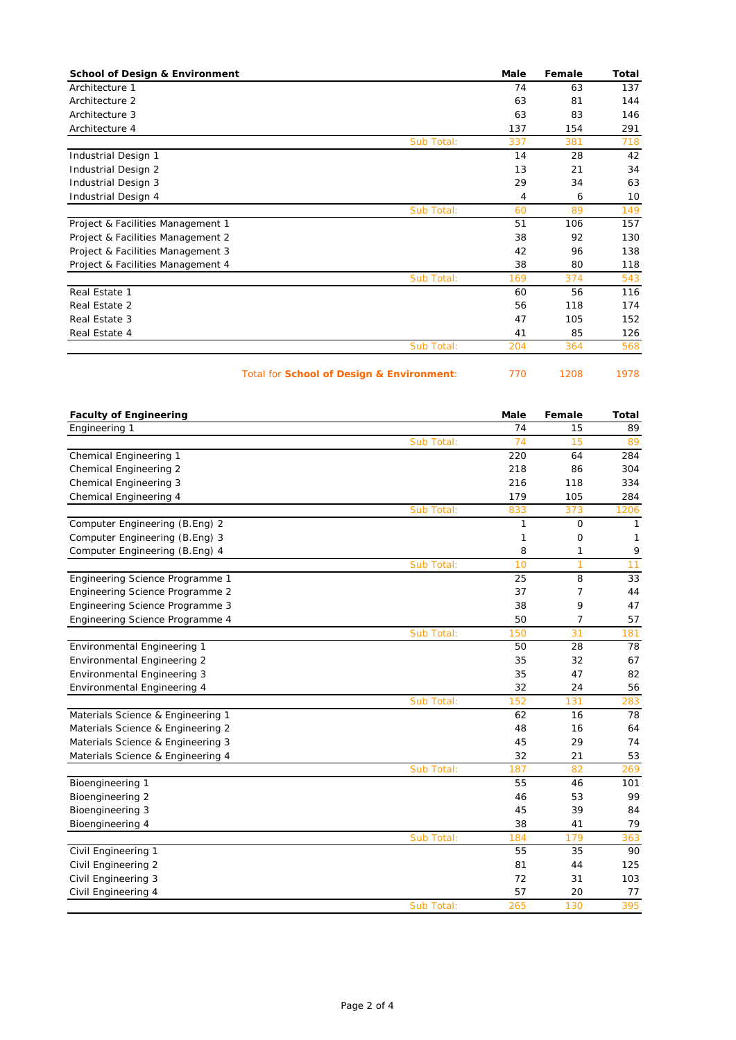| <b>School of Design &amp; Environment</b> | Male | Female | Total |
|-------------------------------------------|------|--------|-------|
| Architecture 1                            | 74   | 63     | 137   |
| Architecture 2                            | 63   | 81     | 144   |
| Architecture 3                            | 63   | 83     | 146   |
| Architecture 4                            | 137  | 154    | 291   |
| Sub Total:                                | 337  | 381    | 718   |
| Industrial Design 1                       | 14   | 28     | 42    |
| Industrial Design 2                       | 13   | 21     | 34    |
| Industrial Design 3                       | 29   | 34     | 63    |
| Industrial Design 4                       | 4    | 6      | 10    |
| Sub Total:                                | 60   | 89     | 149   |
| Project & Facilities Management 1         | 51   | 106    | 157   |
| Project & Facilities Management 2         | 38   | 92     | 130   |
| Project & Facilities Management 3         | 42   | 96     | 138   |
| Project & Facilities Management 4         | 38   | 80     | 118   |
| Sub Total:                                | 169  | 374    | 543   |
| Real Estate 1                             | 60   | 56     | 116   |
| Real Estate 2                             | 56   | 118    | 174   |
| Real Estate 3                             | 47   | 105    | 152   |
| Real Estate 4                             | 41   | 85     | 126   |
| Sub Total:                                | 204  | 364    | 568   |

## Total for **School of Design & Environment**: 770 1208 1978

| <b>Faculty of Engineering</b>      |            | Male | Female | <b>Total</b> |
|------------------------------------|------------|------|--------|--------------|
| Engineering 1                      |            | 74   | 15     | 89           |
|                                    | Sub Total: | 74   | 15     | 89           |
| Chemical Engineering 1             |            | 220  | 64     | 284          |
| <b>Chemical Engineering 2</b>      |            | 218  | 86     | 304          |
| <b>Chemical Engineering 3</b>      |            | 216  | 118    | 334          |
| Chemical Engineering 4             |            | 179  | 105    | 284          |
|                                    | Sub Total: | 833  | 373    | 1206         |
| Computer Engineering (B.Eng) 2     |            | 1    | 0      | 1            |
| Computer Engineering (B.Eng) 3     |            | 1    | 0      | 1            |
| Computer Engineering (B.Eng) 4     |            | 8    | 1      | 9            |
|                                    | Sub Total: | 10   | 1      | 11           |
| Engineering Science Programme 1    |            | 25   | 8      | 33           |
| Engineering Science Programme 2    |            | 37   | 7      | 44           |
| Engineering Science Programme 3    |            | 38   | 9      | 47           |
| Engineering Science Programme 4    |            | 50   | 7      | 57           |
|                                    | Sub Total: | 150  | 31     | 181          |
| Environmental Engineering 1        |            | 50   | 28     | 78           |
| <b>Environmental Engineering 2</b> |            | 35   | 32     | 67           |
| <b>Environmental Engineering 3</b> |            | 35   | 47     | 82           |
| Environmental Engineering 4        |            | 32   | 24     | 56           |
|                                    | Sub Total: | 152  | 131    | 283          |
| Materials Science & Engineering 1  |            | 62   | 16     | 78           |
| Materials Science & Engineering 2  |            | 48   | 16     | 64           |
| Materials Science & Engineering 3  |            | 45   | 29     | 74           |
| Materials Science & Engineering 4  |            | 32   | 21     | 53           |
|                                    | Sub Total: | 187  | 82     | 269          |
| Bioengineering 1                   |            | 55   | 46     | 101          |
| Bioengineering 2                   |            | 46   | 53     | 99           |
| Bioengineering 3                   |            | 45   | 39     | 84           |
| Bioengineering 4                   |            | 38   | 41     | 79           |
|                                    | Sub Total: | 184  | 179    | 363          |
| Civil Engineering 1                |            | 55   | 35     | 90           |
| Civil Engineering 2                |            | 81   | 44     | 125          |
| Civil Engineering 3                |            | 72   | 31     | 103          |
| Civil Engineering 4                |            | 57   | 20     | 77           |
|                                    | Sub Total: | 265  | 130    | 395          |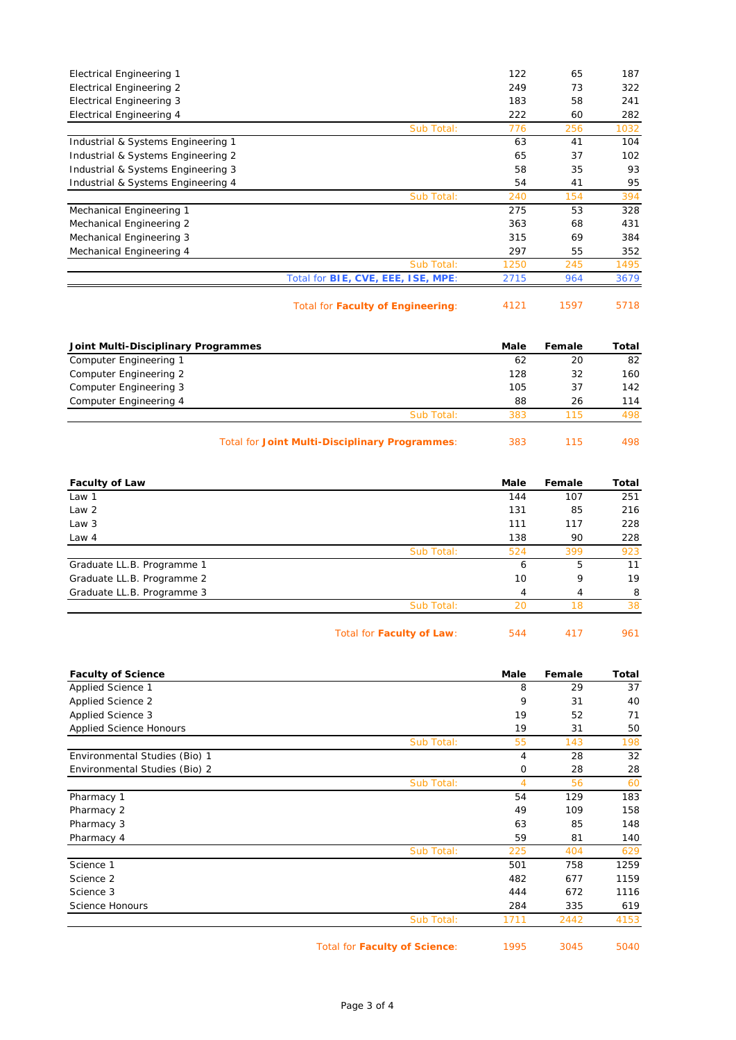| <b>Electrical Engineering 1</b>    |                                    | 122  | 65  | 187  |
|------------------------------------|------------------------------------|------|-----|------|
|                                    |                                    |      |     |      |
| Electrical Engineering 2           |                                    | 249  | 73  | 322  |
| <b>Electrical Engineering 3</b>    |                                    | 183  | 58  | 241  |
| Electrical Engineering 4           |                                    | 222  | 60  | 282  |
|                                    | Sub Total:                         | 776  | 256 | 1032 |
| Industrial & Systems Engineering 1 |                                    | 63   | 41  | 104  |
| Industrial & Systems Engineering 2 |                                    | 65   | 37  | 102  |
| Industrial & Systems Engineering 3 |                                    | 58   | 35  | 93   |
| Industrial & Systems Engineering 4 |                                    | 54   | 41  | 95   |
|                                    | Sub Total:                         | 240  | 154 | 394  |
| Mechanical Engineering 1           |                                    | 275  | 53  | 328  |
| Mechanical Engineering 2           |                                    | 363  | 68  | 431  |
| Mechanical Engineering 3           |                                    | 315  | 69  | 384  |
| Mechanical Engineering 4           |                                    | 297  | 55  | 352  |
|                                    | Sub Total:                         | 1250 | 245 | 1495 |
|                                    | Total for BIE, CVE, EEE, ISE, MPE: | 2715 | 964 | 3679 |
|                                    |                                    |      |     |      |

Total for Faculty of Engineering: 4121 1597 5718

| Joint Multi-Disciplinary Programmes |            | Male | Female | Total |
|-------------------------------------|------------|------|--------|-------|
| Computer Engineering 1              |            | 62   | 20     | 82    |
| Computer Engineering 2              |            | 128  | 32     | 160   |
| Computer Engineering 3              |            | 105  | 37     | 142   |
| Computer Engineering 4              |            | 88   | 26     | 114   |
|                                     | Sub Total: | 383  | 115    | 498.  |
|                                     |            |      |        |       |

Total for **Joint Multi-Disciplinary Programmes**: 383 115 498

| <b>Faculty of Law</b>      | Male | Female | Total |
|----------------------------|------|--------|-------|
| Law 1                      | 144  | 107    | 251   |
| Law <sub>2</sub>           | 131  | 85     | 216   |
| Law 3                      | 111  | 117    | 228   |
| Law 4                      | 138  | 90     | 228   |
| Sub Total:                 | 524  | 399    | 923   |
| Graduate LL.B. Programme 1 | 6    | 5      | 11    |
| Graduate LL.B. Programme 2 | 10   | 9      | 19    |
| Graduate LL.B. Programme 3 | 4    | 4      | 8     |
| Sub Total:                 | 20   | 18     | 38    |
|                            |      |        |       |

| Total for Faculty of Law: | 544 | 417 | 961 |
|---------------------------|-----|-----|-----|
|---------------------------|-----|-----|-----|

| <b>Faculty of Science</b>      |            | Male | Female | <b>Total</b> |
|--------------------------------|------------|------|--------|--------------|
| Applied Science 1              |            | 8    | 29     | 37           |
| Applied Science 2              |            | 9    | 31     | 40           |
| Applied Science 3              |            | 19   | 52     | 71           |
| <b>Applied Science Honours</b> |            | 19   | 31     | 50           |
|                                | Sub Total: | 55   | 143    | 198          |
| Environmental Studies (Bio) 1  |            | 4    | 28     | 32           |
| Environmental Studies (Bio) 2  |            | 0    | 28     | 28           |
|                                | Sub Total: | 4    | 56     | 60           |
| Pharmacy 1                     |            | 54   | 129    | 183          |
| Pharmacy 2                     |            | 49   | 109    | 158          |
| Pharmacy 3                     |            | 63   | 85     | 148          |
| Pharmacy 4                     |            | 59   | 81     | 140          |
|                                | Sub Total: | 225  | 404    | 629          |
| Science 1                      |            | 501  | 758    | 1259         |
| Science 2                      |            | 482  | 677    | 1159         |
| Science 3                      |            | 444  | 672    | 1116         |
| Science Honours                |            | 284  | 335    | 619          |
|                                | Sub Total: | 1711 | 2442   | 4153         |
|                                |            |      |        |              |

Total for **Faculty of Science**: 1995 3045 5040